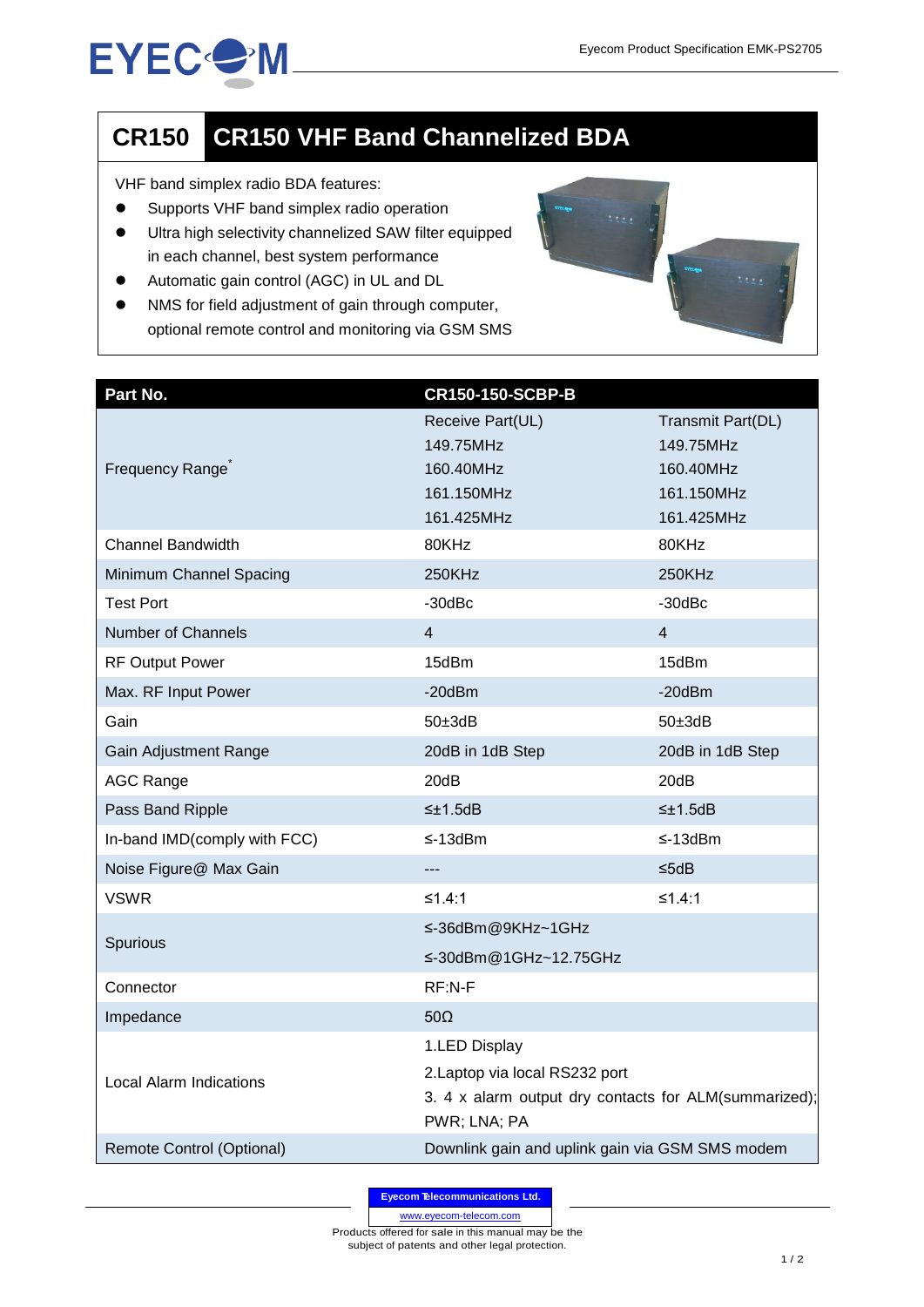## **EYECOM**

## **CR150 CR150 VHF Band Channelized BDA**

VHF band simplex radio BDA features:

- **•** Supports VHF band simplex radio operation
- Ultra high selectivity channelized SAW filter equipped in each channel, best system performance
- Automatic gain control (AGC) in UL and DL
- NMS for field adjustment of gain through computer, optional remote control and monitoring via GSM SMS

| Part No.                         | <b>CR150-150-SCBP-B</b>                                               |                   |
|----------------------------------|-----------------------------------------------------------------------|-------------------|
| Frequency Range <sup>®</sup>     | Receive Part(UL)                                                      | Transmit Part(DL) |
|                                  | 149.75MHz                                                             | 149.75MHz         |
|                                  | 160.40MHz                                                             | 160.40MHz         |
|                                  | 161.150MHz                                                            | 161.150MHz        |
|                                  | 161.425MHz                                                            | 161.425MHz        |
| <b>Channel Bandwidth</b>         | 80KHz                                                                 | 80KHz             |
| Minimum Channel Spacing          | 250KHz                                                                | 250KHz            |
| <b>Test Port</b>                 | $-30$ d $Bc$                                                          | $-30$ d $Bc$      |
| Number of Channels               | 4                                                                     | 4                 |
| <b>RF Output Power</b>           | 15dBm                                                                 | 15dBm             |
| Max. RF Input Power              | $-20$ d $Bm$                                                          | $-20$ d $Bm$      |
| Gain                             | $50\pm 3$ dB                                                          | $50\pm 3$ dB      |
| Gain Adjustment Range            | 20dB in 1dB Step                                                      | 20dB in 1dB Step  |
| <b>AGC Range</b>                 | 20dB                                                                  | 20dB              |
| Pass Band Ripple                 | $\leq \pm 1.5$ dB                                                     | $\leq \pm 1.5$ dB |
| In-band IMD(comply with FCC)     | $\leq$ -13dBm                                                         | $\leq$ -13dBm     |
| Noise Figure@ Max Gain           | $\overline{\phantom{a}}$                                              | ≤5dB              |
| <b>VSWR</b>                      | ≤1.4:1                                                                | ≤1.4:1            |
| Spurious                         | ≤-36dBm@9KHz~1GHz                                                     |                   |
|                                  | ≤-30dBm@1GHz~12.75GHz                                                 |                   |
| Connector                        | RF:N-F                                                                |                   |
| Impedance                        | $50\Omega$                                                            |                   |
| <b>Local Alarm Indications</b>   | 1.LED Display                                                         |                   |
|                                  | 2. Laptop via local RS232 port                                        |                   |
|                                  | 3. 4 x alarm output dry contacts for ALM(summarized);<br>PWR; LNA; PA |                   |
| <b>Remote Control (Optional)</b> | Downlink gain and uplink gain via GSM SMS modem                       |                   |

**Eyecom Telecommunications Ltd.**

www.eyecom-telecom.com